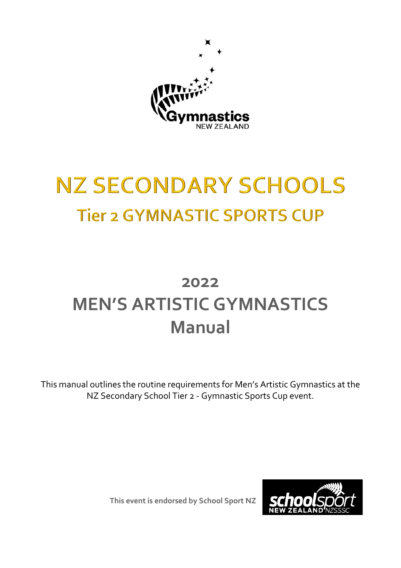

# **NZ SECONDARY SCHOOLS Tier 2 GYMNASTIC SPORTS CUP**

## **2022 MEN'S ARTISTIC GYMNASTICS Manual**

This manual outlines the routine requirements for Men's Artistic Gymnastics at the NZ Secondary School Tier 2 - Gymnastic Sports Cup event.

**This event is endorsed by School Sport NZ**

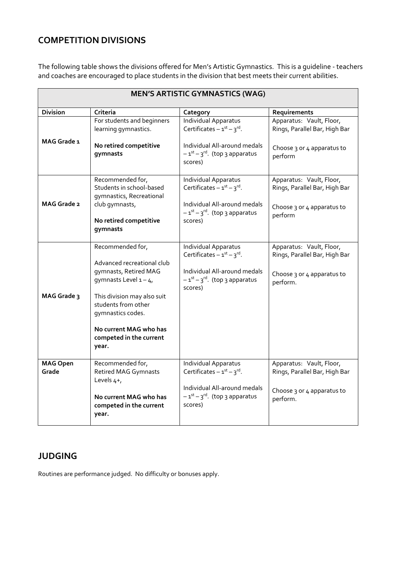### **COMPETITION DIVISIONS**

The following table shows the divisions offered for Men's Artistic Gymnastics. This is a guideline - teachers and coaches are encouraged to place students in the division that best meets their current abilities.

| <b>MEN'S ARTISTIC GYMNASTICS (WAG)</b> |                                                                                                                                                                                                                                            |                                                                                                                                               |                                                                                                     |  |
|----------------------------------------|--------------------------------------------------------------------------------------------------------------------------------------------------------------------------------------------------------------------------------------------|-----------------------------------------------------------------------------------------------------------------------------------------------|-----------------------------------------------------------------------------------------------------|--|
| <b>Division</b>                        | Criteria                                                                                                                                                                                                                                   | Category                                                                                                                                      | Requirements                                                                                        |  |
| MAG Grade 1                            | For students and beginners<br>learning gymnastics.<br>No retired competitive<br>gymnasts                                                                                                                                                   | Individual Apparatus<br>Certificates $-1^{st} - 3^{rd}$ .<br>Individual All-around medals<br>$-1^{st} - 3^{rd}$ . (top 3 apparatus<br>scores) | Apparatus: Vault, Floor,<br>Rings, Parallel Bar, High Bar<br>Choose 3 or 4 apparatus to<br>perform  |  |
| MAG Grade 2                            | Recommended for,<br>Students in school-based<br>gymnastics, Recreational<br>club gymnasts,<br>No retired competitive<br>gymnasts                                                                                                           | Individual Apparatus<br>Certificates $-1^{st} - 3^{rd}$ .<br>Individual All-around medals<br>$-1^{st}-3^{rd}$ . (top 3 apparatus<br>scores)   | Apparatus: Vault, Floor,<br>Rings, Parallel Bar, High Bar<br>Choose 3 or 4 apparatus to<br>perform  |  |
| MAG Grade 3                            | Recommended for,<br>Advanced recreational club<br>gymnasts, Retired MAG<br>gymnasts Level $1 - 4$<br>This division may also suit<br>students from other<br>gymnastics codes.<br>No current MAG who has<br>competed in the current<br>year. | Individual Apparatus<br>Certificates $-1^{st} - 3^{rd}$ .<br>Individual All-around medals<br>$-1^{st}-3^{rd}$ . (top 3 apparatus<br>scores)   | Apparatus: Vault, Floor,<br>Rings, Parallel Bar, High Bar<br>Choose 3 or 4 apparatus to<br>perform. |  |
| <b>MAG Open</b><br>Grade               | Recommended for,<br><b>Retired MAG Gymnasts</b><br>Levels 4+,<br>No current MAG who has<br>competed in the current<br>year.                                                                                                                | Individual Apparatus<br>Certificates $-1^{st} - 3^{rd}$ .<br>Individual All-around medals<br>$-1^{st}-3^{rd}$ . (top 3 apparatus<br>scores)   | Apparatus: Vault, Floor,<br>Rings, Parallel Bar, High Bar<br>Choose 3 or 4 apparatus to<br>perform. |  |

#### **JUDGING**

Routines are performance judged. No difficulty or bonuses apply.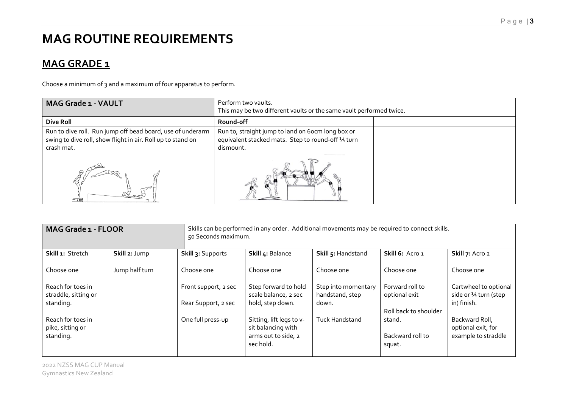## **MAG ROUTINE REQUIREMENTS**

## **MAG GRADE 1**

Choose a minimum of 3 and a maximum of four apparatus to perform.

| <b>MAG Grade 1 - VAULT</b>                                                                                                              | Perform two vaults.<br>This may be two different vaults or the same vault performed twice.                           |  |
|-----------------------------------------------------------------------------------------------------------------------------------------|----------------------------------------------------------------------------------------------------------------------|--|
| Dive Roll                                                                                                                               | Round-off                                                                                                            |  |
| Run to dive roll. Run jump off bead board, use of underarm<br>swing to dive roll, show flight in air. Roll up to stand on<br>crash mat. | Run to, straight jump to land on 6ocm long box or<br>equivalent stacked mats. Step to round-off 14 turn<br>dismount. |  |
| $\overline{\phantom{a}}$                                                                                                                |                                                                                                                      |  |

| <b>MAG Grade 1 - FLOOR</b>                         |                |                      | Skills can be performed in any order. Additional movements may be required to connect skills.<br>50 Seconds maximum. |                                        |                                      |                                                             |  |
|----------------------------------------------------|----------------|----------------------|----------------------------------------------------------------------------------------------------------------------|----------------------------------------|--------------------------------------|-------------------------------------------------------------|--|
| Skill 1: Stretch                                   | Skill 2: Jump  | Skill 3: Supports    | Skill 4: Balance                                                                                                     | Skill 5: Handstand                     | Skill 6: Acro 1                      | Skill 7: Acro 2                                             |  |
| Choose one                                         | Jump half turn | Choose one           | Choose one                                                                                                           | Choose one                             | Choose one                           | Choose one                                                  |  |
| Reach for toes in<br>straddle, sitting or          |                | Front support, 2 sec | Step forward to hold<br>scale balance, 2 sec                                                                         | Step into momentary<br>handstand, step | Forward roll to<br>optional exit     | Cartwheel to optional<br>side or 1⁄4 turn (step             |  |
| standing.                                          |                | Rear Support, 2 sec  | hold, step down.                                                                                                     | down.                                  | Roll back to shoulder                | in) finish.                                                 |  |
| Reach for toes in<br>pike, sitting or<br>standing. |                | One full press-up    | Sitting, lift legs to v-<br>sit balancing with<br>arms out to side, 2<br>sec hold.                                   | <b>Tuck Handstand</b>                  | stand.<br>Backward roll to<br>squat. | Backward Roll,<br>optional exit, for<br>example to straddle |  |

2022 NZSS MAG CUP Manual Gymnastics New Zealand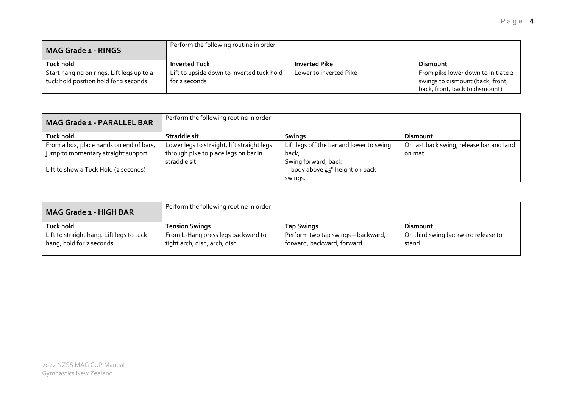| <b>MAG Grade 1 - RINGS</b>                                                         | Perform the following routine in order                     |                        |                                                                                                          |
|------------------------------------------------------------------------------------|------------------------------------------------------------|------------------------|----------------------------------------------------------------------------------------------------------|
| Tuck hold                                                                          | <b>Inverted Tuck</b>                                       | <b>Inverted Pike</b>   | Dismount                                                                                                 |
| Start hanging on rings. Lift legs up to a<br>tuck hold position hold for 2 seconds | Lift to upside down to inverted tuck hold<br>for 2 seconds | Lower to inverted Pike | From pike lower down to initiate 2<br>swings to dismount (back, front,<br>back, front, back to dismount) |

| <b>MAG Grade 1 - PARALLEL BAR</b>       | Perform the following routine in order     |                                            |                                          |
|-----------------------------------------|--------------------------------------------|--------------------------------------------|------------------------------------------|
| Tuck hold                               | Straddle sit                               | <b>Swings</b>                              | <b>Dismount</b>                          |
| From a box, place hands on end of bars, | Lower legs to straight, lift straight legs | Lift legs off the bar and lower to swing   | On last back swing, release bar and land |
| jump to momentary straight support.     | through pike to place legs on bar in       | back,                                      | on mat                                   |
|                                         | straddle sit.                              | Swing forward, back                        |                                          |
| Lift to show a Tuck Hold (2 seconds)    |                                            | $-$ body above $45^{\circ}$ height on back |                                          |
|                                         |                                            | swings.                                    |                                          |

| <b>MAG Grade 1 - HIGH BAR</b>                                         | Perform the following routine in order                             |                                                                  |                                              |
|-----------------------------------------------------------------------|--------------------------------------------------------------------|------------------------------------------------------------------|----------------------------------------------|
| <b>Tuck hold</b>                                                      | <b>Tension Swings</b>                                              | <b>Tap Swings</b>                                                | Dismount                                     |
| Lift to straight hang. Lift legs to tuck<br>hang, hold for 2 seconds. | From L-Hang press legs backward to<br>tight arch, dish, arch, dish | Perform two tap swings - backward,<br>forward, backward, forward | On third swing backward release to<br>stand. |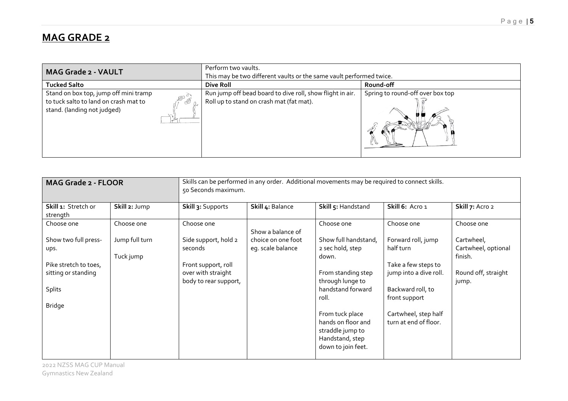## **MAG GRADE 2**

| <b>MAG Grade 2 - VAULT</b>                                                                                                    | Perform two vaults.<br>This may be two different vaults or the same vault performed twice.            |                                  |  |
|-------------------------------------------------------------------------------------------------------------------------------|-------------------------------------------------------------------------------------------------------|----------------------------------|--|
| <b>Tucked Salto</b>                                                                                                           | Dive Roll                                                                                             | Round-off                        |  |
| Stand on box top, jump off mini tramp<br>$-100$<br>to tuck salto to land on crash mat to<br>89<br>stand. (landing not judged) | Run jump off bead board to dive roll, show flight in air.<br>Roll up to stand on crash mat (fat mat). | Spring to round-off over box top |  |

| MAG Grade 2 - FLOOR                                                                                            |                             | Skills can be performed in any order. Additional movements may be required to connect skills.<br>50 Seconds maximum. |                                         |                                                                                                                                                                                                                                 |                                                                                                                                                                         |                                                                              |
|----------------------------------------------------------------------------------------------------------------|-----------------------------|----------------------------------------------------------------------------------------------------------------------|-----------------------------------------|---------------------------------------------------------------------------------------------------------------------------------------------------------------------------------------------------------------------------------|-------------------------------------------------------------------------------------------------------------------------------------------------------------------------|------------------------------------------------------------------------------|
| Skill 1: Stretch or<br>strength                                                                                | Skill 2: Jump               | Skill 3: Supports                                                                                                    | Skill 4: Balance                        | Skill 5: Handstand                                                                                                                                                                                                              | Skill 6: Acro 1                                                                                                                                                         | Skill 7: Acro 2                                                              |
| Choose one                                                                                                     | Choose one                  | Choose one                                                                                                           | Show a balance of                       | Choose one                                                                                                                                                                                                                      | Choose one                                                                                                                                                              | Choose one                                                                   |
| Show two full press-<br>ups.<br>Pike stretch to toes,<br>sitting or standing<br><b>Splits</b><br><b>Bridge</b> | Jump full turn<br>Tuck jump | Side support, hold 2<br>seconds<br>Front support, roll<br>over with straight<br>body to rear support,                | choice on one foot<br>eg. scale balance | Show full handstand,<br>2 sec hold, step<br>down.<br>From standing step<br>through lunge to<br>handstand forward<br>roll.<br>From tuck place<br>hands on floor and<br>straddle jump to<br>Handstand, step<br>down to join feet. | Forward roll, jump<br>half turn<br>Take a few steps to<br>jump into a dive roll.<br>Backward roll, to<br>front support<br>Cartwheel, step half<br>turn at end of floor. | Cartwheel,<br>Cartwheel, optional<br>finish.<br>Round off, straight<br>jump. |

2022 NZSS MAG CUP Manual Gymnastics New Zealand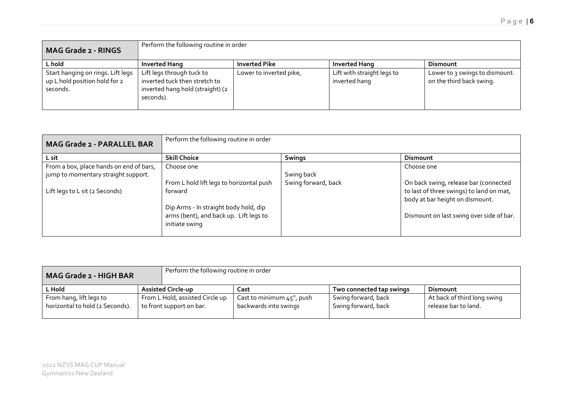| <b>MAG Grade 2 - RINGS</b>                                                     | Perform the following routine in order                                                                      |                         |                                             |                                                           |  |
|--------------------------------------------------------------------------------|-------------------------------------------------------------------------------------------------------------|-------------------------|---------------------------------------------|-----------------------------------------------------------|--|
| L hold                                                                         | <b>Inverted Hang</b>                                                                                        | <b>Inverted Pike</b>    | <b>Inverted Hang</b>                        | <b>Dismount</b>                                           |  |
| Start hanging on rings. Lift legs<br>up L hold position hold for 2<br>seconds. | Lift legs through tuck to<br>inverted tuck then stretch to<br>inverted hang hold (straight) (2<br>seconds). | Lower to inverted pike, | Lift with straight legs to<br>inverted hang | Lower to 3 swings to dismount<br>on the third back swing. |  |

| <b>MAG Grade 2 - PARALLEL BAR</b>                                              | Perform the following routine in order                                                            |                     |                                                                                                                      |  |
|--------------------------------------------------------------------------------|---------------------------------------------------------------------------------------------------|---------------------|----------------------------------------------------------------------------------------------------------------------|--|
| L sit                                                                          | <b>Skill Choice</b>                                                                               | <b>Swings</b>       | Dismount                                                                                                             |  |
| From a box, place hands on end of bars,<br>jump to momentary straight support. | Choose one                                                                                        | Swing back          | Choose one                                                                                                           |  |
| Lift legs to L sit (2 Seconds)                                                 | From L hold lift legs to horizontal push<br>forward                                               | Swing forward, back | On back swing, release bar (connected<br>to last of three swings) to land on mat,<br>body at bar height on dismount. |  |
|                                                                                | Dip Arms - In straight body hold, dip<br>arms (bent), and back up. Lift legs to<br>initiate swing |                     | Dismount on last swing over side of bar.                                                                             |  |

| <b>MAG Grade 2 - HIGH BAR</b>                              | Perform the following routine in order                      |                                                            |                                            |                                                     |
|------------------------------------------------------------|-------------------------------------------------------------|------------------------------------------------------------|--------------------------------------------|-----------------------------------------------------|
| L Hold                                                     | <b>Assisted Circle-up</b>                                   | Cast                                                       | Two connected tap swings                   | Dismount                                            |
| From hang, lift legs to<br>horizontal to hold (2 Seconds). | From L Hold, assisted Circle up<br>to front support on bar. | Cast to minimum $45^\circ$ , push<br>backwards into swings | Swing forward, back<br>Swing forward, back | At back of third long swing<br>release bar to land. |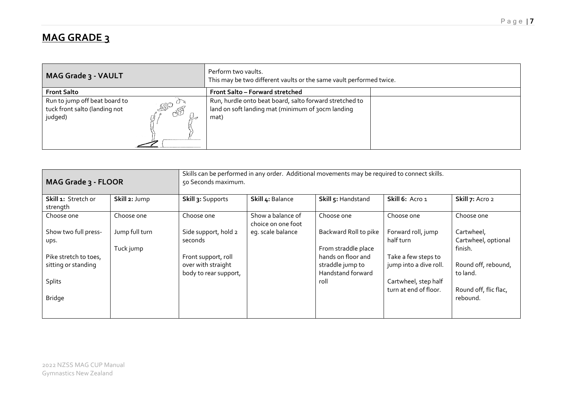## **MAG GRADE 3**

| MAG Grade 3 - VAULT                                                                                   | Perform two vaults.<br>This may be two different vaults or the same vault performed twice.                           |  |
|-------------------------------------------------------------------------------------------------------|----------------------------------------------------------------------------------------------------------------------|--|
| <b>Front Salto</b>                                                                                    | Front Salto - Forward stretched                                                                                      |  |
| Run to jump off beat board to<br><b>ASO</b><br>tuck front salto (landing not<br><b>ASS</b><br>judged) | Run, hurdle onto beat board, salto forward stretched to<br>land on soft landing mat (minimum of 30cm landing<br>mat) |  |

| MAG Grade 3 - FLOOR                          |                             | Skills can be performed in any order. Additional movements may be required to connect skills.<br>50 Seconds maximum. |                                         |                                                             |                                               |                                              |
|----------------------------------------------|-----------------------------|----------------------------------------------------------------------------------------------------------------------|-----------------------------------------|-------------------------------------------------------------|-----------------------------------------------|----------------------------------------------|
| Skill 1: Stretch or<br>strength              | Skill 2: Jump               | Skill 3: Supports                                                                                                    | Skill 4: Balance                        | Skill 5: Handstand                                          | Skill 6: Acro 1                               | Skill 7: Acro 2                              |
| Choose one                                   | Choose one                  | Choose one                                                                                                           | Show a balance of<br>choice on one foot | Choose one                                                  | Choose one                                    | Choose one                                   |
| Show two full press-<br>ups.                 | Jump full turn<br>Tuck jump | Side support, hold 2<br>seconds                                                                                      | eq. scale balance                       | Backward Roll to pike<br>From straddle place                | Forward roll, jump<br>half turn               | Cartwheel,<br>Cartwheel, optional<br>finish. |
| Pike stretch to toes,<br>sitting or standing |                             | Front support, roll<br>over with straight<br>body to rear support,                                                   |                                         | hands on floor and<br>straddle jump to<br>Handstand forward | Take a few steps to<br>jump into a dive roll. | Round off, rebound,<br>to land.              |
| <b>Splits</b>                                |                             |                                                                                                                      |                                         | roll                                                        | Cartwheel, step half<br>turn at end of floor. | Round off, flic flac,                        |
| <b>Bridge</b>                                |                             |                                                                                                                      |                                         |                                                             |                                               | rebound.                                     |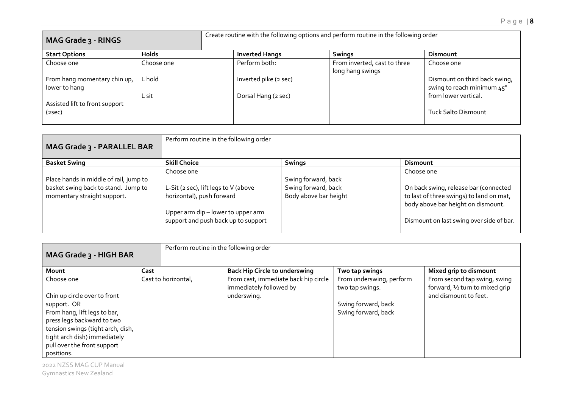| MAG Grade 3 - RINGS                           |              | Create routine with the following options and perform routine in the following order |                                                  |                                                             |
|-----------------------------------------------|--------------|--------------------------------------------------------------------------------------|--------------------------------------------------|-------------------------------------------------------------|
| <b>Start Options</b>                          | <b>Holds</b> | <b>Inverted Hangs</b>                                                                | <b>Swings</b>                                    | <b>Dismount</b>                                             |
| Choose one                                    | Choose one   | Perform both:                                                                        | From inverted, cast to three<br>long hang swings | Choose one                                                  |
| From hang momentary chin up,<br>lower to hang | L hold       | Inverted pike (2 sec)                                                                |                                                  | Dismount on third back swing,<br>swing to reach minimum 45° |
|                                               | L sit        | Dorsal Hang (2 sec)                                                                  |                                                  | from lower vertical.                                        |
| Assisted lift to front support<br>(2sec)      |              |                                                                                      |                                                  | <b>Tuck Salto Dismount</b>                                  |

| MAG Grade 3 - PARALLEL BAR                                                                                   | Perform routine in the following order                                                                                                                       |                                                                     |                                                                                                                                                                                   |
|--------------------------------------------------------------------------------------------------------------|--------------------------------------------------------------------------------------------------------------------------------------------------------------|---------------------------------------------------------------------|-----------------------------------------------------------------------------------------------------------------------------------------------------------------------------------|
| <b>Basket Swing</b>                                                                                          | <b>Skill Choice</b>                                                                                                                                          | <b>Swings</b>                                                       | <b>Dismount</b>                                                                                                                                                                   |
| Place hands in middle of rail, jump to<br>basket swing back to stand. Jump to<br>momentary straight support. | Choose one<br>L-Sit (2 sec), lift legs to V (above<br>horizontal), push forward<br>Upper arm dip - lower to upper arm<br>support and push back up to support | Swing forward, back<br>Swing forward, back<br>Body above bar height | Choose one<br>On back swing, release bar (connected<br>to last of three swings) to land on mat,<br>body above bar height on dismount.<br>Dismount on last swing over side of bar. |

| MAG Grade 3 - HIGH BAR                                                                                                                                                                                                                    |                     | Perform routine in the following order                                         |                                                                                           |                                                                                          |
|-------------------------------------------------------------------------------------------------------------------------------------------------------------------------------------------------------------------------------------------|---------------------|--------------------------------------------------------------------------------|-------------------------------------------------------------------------------------------|------------------------------------------------------------------------------------------|
| Mount                                                                                                                                                                                                                                     | Cast                | <b>Back Hip Circle to underswing</b>                                           | Two tap swings                                                                            | Mixed grip to dismount                                                                   |
| Choose one<br>Chin up circle over to front<br>support. OR<br>From hang, lift legs to bar,<br>press legs backward to two<br>tension swings (tight arch, dish,<br>tight arch dish) immediately<br>pull over the front support<br>positions. | Cast to horizontal, | From cast, immediate back hip circle<br>immediately followed by<br>underswing. | From underswing, perform<br>two tap swings.<br>Swing forward, back<br>Swing forward, back | From second tap swing, swing<br>forward, 1/2 turn to mixed grip<br>and dismount to feet. |

2022 NZSS MAG CUP Manual Gymnastics New Zealand